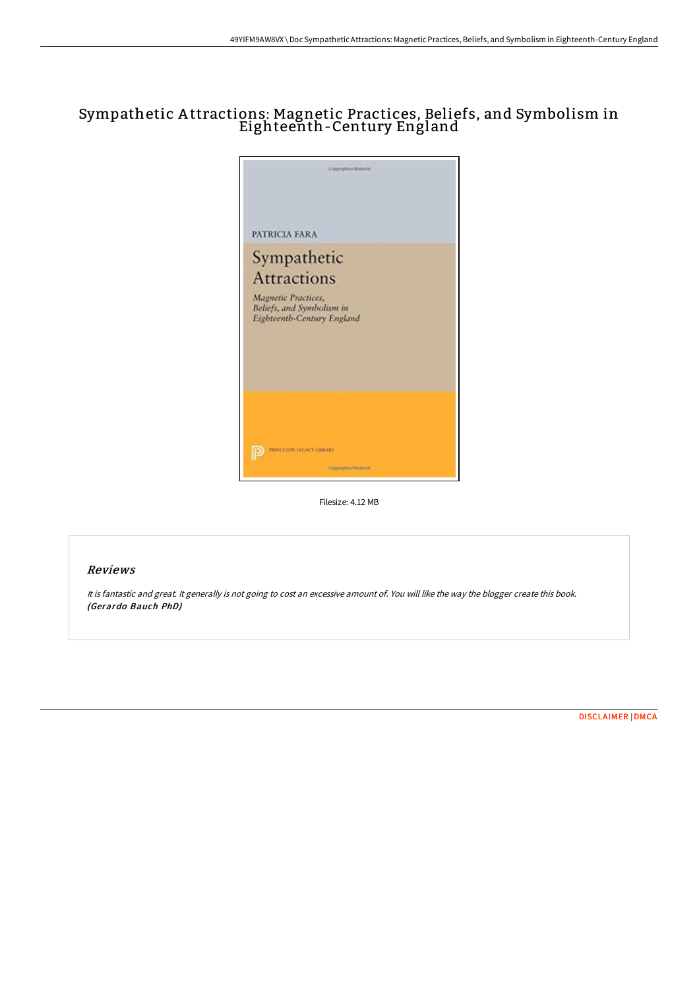# Sympathetic A ttractions: Magnetic Practices, Beliefs, and Symbolism in Eighteenth-Century England



Filesize: 4.12 MB

### Reviews

It is fantastic and great. It generally is not going to cost an excessive amount of. You will like the way the blogger create this book. (Gerardo Bauch PhD)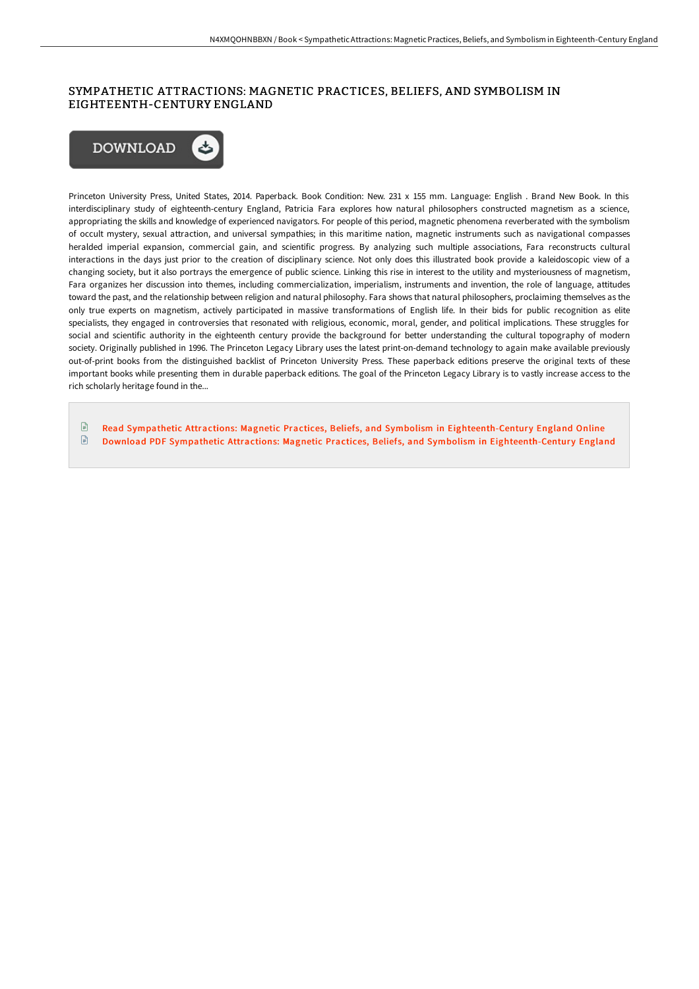### SYMPATHETIC ATTRACTIONS: MAGNETIC PRACTICES, BELIEFS, AND SYMBOLISM IN EIGHTEENTH-CENTURY ENGLAND



Princeton University Press, United States, 2014. Paperback. Book Condition: New. 231 x 155 mm. Language: English . Brand New Book. In this interdisciplinary study of eighteenth-century England, Patricia Fara explores how natural philosophers constructed magnetism as a science, appropriating the skills and knowledge of experienced navigators. For people of this period, magnetic phenomena reverberated with the symbolism of occult mystery, sexual attraction, and universal sympathies; in this maritime nation, magnetic instruments such as navigational compasses heralded imperial expansion, commercial gain, and scientific progress. By analyzing such multiple associations, Fara reconstructs cultural interactions in the days just prior to the creation of disciplinary science. Not only does this illustrated book provide a kaleidoscopic view of a changing society, but it also portrays the emergence of public science. Linking this rise in interest to the utility and mysteriousness of magnetism, Fara organizes her discussion into themes, including commercialization, imperialism, instruments and invention, the role of language, attitudes toward the past, and the relationship between religion and natural philosophy. Fara shows that natural philosophers, proclaiming themselves as the only true experts on magnetism, actively participated in massive transformations of English life. In their bids for public recognition as elite specialists, they engaged in controversies that resonated with religious, economic, moral, gender, and political implications. These struggles for social and scientific authority in the eighteenth century provide the background for better understanding the cultural topography of modern society. Originally published in 1996. The Princeton Legacy Library uses the latest print-on-demand technology to again make available previously out-of-print books from the distinguished backlist of Princeton University Press. These paperback editions preserve the original texts of these important books while presenting them in durable paperback editions. The goal of the Princeton Legacy Library is to vastly increase access to the rich scholarly heritage found in the...

 $\mathbb{R}$ Read Sympathetic Attractions: Magnetic Practices, Beliefs, and Symbolism in [Eighteenth-Centur](http://techno-pub.tech/sympathetic-attractions-magnetic-practices-belie.html)y England Online Download PDF Sympathetic Attractions: Magnetic Practices, Beliefs, and Symbolism in [Eighteenth-Centur](http://techno-pub.tech/sympathetic-attractions-magnetic-practices-belie.html)y England